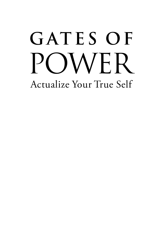# GATES OF POWER. Actualize Your True Self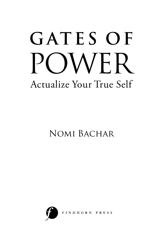# GATES OF POWER. Actualize Your True Self

# **NOMI BACHAR**



FINDHORN PRESS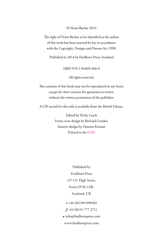© Nomi Bachar 2014

The right of Nomi Bachar to be identified as the author of this work has been asserted by her in accordance with the Copyright, Designs and Patents Act 1998.

Published in 2014 by Findhorn Press, Scotland

ISBN 978-1-84409-466-0

All rights reserved.

The contents of this book may not be reproduced in any form, except for short extracts for quotation or review, without the written permission of the publisher.

A CIP record for this title is available from the British Library.

Edited by Nicky Leach Front cover design by Richard Crookes Interior design by Damian Keenan Printed in the USA?

> Published by Findhorn Press 117-121 High Street, Forres IV36 1AB, Scotland, UK *t* +44 (0)1309 690582 *f* +44 (0)131 777 2711

*e* info@findhornpress.com

www.findhornpress.com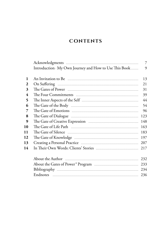## **CONTENTS**

|              |                                                        | $\overline{7}$ |
|--------------|--------------------------------------------------------|----------------|
|              | Introduction - My Own Journey and How to Use This Book | 9              |
| 1            |                                                        | 13             |
| $\mathbf{2}$ |                                                        | 21             |
| 3            |                                                        | 31             |
| 4            |                                                        | 39             |
| 5            |                                                        | 44             |
| 6            |                                                        | 54             |
| 7            |                                                        | 96             |
| 8            |                                                        | 123            |
| 9            |                                                        | 148            |
| 10           |                                                        | 163            |
| 11           |                                                        | 183            |
| 12           |                                                        | 197            |
| 13           |                                                        | 207            |
| 14           |                                                        |                |
|              |                                                        |                |
|              |                                                        |                |
|              |                                                        | 234            |
|              |                                                        | 236            |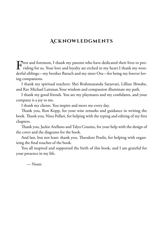### **Ack now ledgm en ts**

First and foremost, I thank my parents who have dedicated their lives to pro-viding for us. Your love and loyalty are etched in my heart.I thank my wonderful siblings—my brother Baruch and my sister Ora—for being my forever loving companions.

I thank my spiritual teachers: Shri Brahmananda Sarasvati, Lillian Shwabe, and Rav Michael Laitman.Your wisdom and compassion illuminate my path.

I thank my good friends. You are my playmates and my confidants, and your company is a joy to me.

I thank my clients. You inspire and move me every day.

Thank you, Ron Kopp, for your wise remarks and guidance in writing the book. Thank you, Nina Pollari, for helping with the typing and editing of my first chapters.

Thank you, Jackie Arellano and Talya Cousins, for your help with the design of the cover and the diagrams for the book.

And last, but not least: thank you, Theodore Poulis, for helping with organizing the final touches of the book.

You all inspired and supported the birth of this book, and I am grateful for your presence in my life.

— Nomi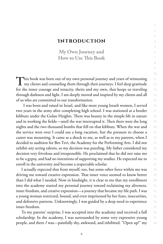#### **In troduction**

1 2 3

**My Own Journey and How to Use This Book**

This book was born out of my own personal journey and years of witnessing my clients and counseling them through their journeys. I feel deep gratitude for the inner courage and tenacity, theirs and my own, that keeps us traveling through darkness and light. I am deeply moved and inspired by my clients and all of us who are committed to our transformation.

 I was born and raised in Israel, and like most young Israeli women, I served two years in the army after completing high school. I was stationed at a border kibbutz under the Golan Heights. There was beauty in the simple life in nature and in working the fields—until the war interrupted it. Then there were the long nights and the two thousand bombs that fell on that kibbutz. When the war and the service were over I could use a long vacation, but the pressure to choose a career was mounting. It came as a shock to me, as well as to my parents, when I decided to audition for Bet-Tzvi, the Academy for the Performing Arts. I did not exhibit any acting talents, so my decision was puzzling. My father considered my decision very frivolous and irresponsible. He proclaimed that he did not raise me to be a gypsy, and had no intentions of supporting my studies. He expected me to enroll in the university and become a respectable scholar.

I actually expected that from myself, too, but some other force within me was driving me toward creative expression. That inner voice seemed to know better than I did what I needed. Now in hindsight, it is clear to me that my enrollment into the academy started my personal journey toward reclaiming my aliveness, inner freedom, and creative expression—a journey that became my life path. I was a young woman restricted, bound, and even imprisoned by her fears, insecurities, and defensive patterns. Unknowingly, I was guided by a deep need to experience inner freedom.

To my parents' surprise, I was accepted into the academy and received a full scholarship. In the academy, I was surrounded by some very expressive young people, and there *I* was—painfully shy, awkward, and inhibited. "Open up!" my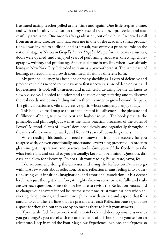frustrated acting teacher yelled at me, time and again. One little step at a time, and with an intuitive dedication to my sense of freedom, I proceeded and successfully graduated. One month after graduation, out of the blue, I received a call from an artistic director who had seen me in one of the academy's final productions. I was invited to audition, and as a result, was offered a principal role on the national stage as Nastia in Gogol's *Lower Depths*. My performance was a success, doors were opened, and I enjoyed years of performing, and later, directing, choreography, writing, and producing. At a crucial time in my life, when I was already living in New York City, I decided to train as a psychotherapist. The same path of healing, expression, and growth continued, albeit in a different form.

My personal journey has been one of many sheddings. Layers of defensive and protective shields needed to melt away to first uncover a sense of deep despair and hopelessness. It took self-awareness and much self-nurturing for the darkness to slowly dissolve. I needed to understand the roots of my suffering and to discover the real needs and desires hiding within them in order to grow beyond the pain. The gift is a passionate, vibrant, creative spirit, whose company I enjoy today.

This book is a road map to the art and craft of full aliveness—the pleasure and fulfillment of being true to the best and highest in you. The book presents the principles and philosophy, as well as the many practical processes, of the Gates of Power® Method. Gates of Power® developed slowly and organically throughout the years of my own inner work, and from 20 years of counseling others.

When reading this book, you need to know that it is not necessary for you to agree with, or even emotionally understand, everything presented, in order to glean insight, inspiration, and practical tools. Give yourself the freedom to take what feels right and useful to you personally; keep an open mind. Question, discuss, and allow for discovery. Do not rush your reading.Pause, taste, savor, feel.

I do recommend doing the exercises and using the Reflection Pauses to go within. A few words about reflection. To me, reflection means feeling into a question, using your intuition, imagination, and emotional association. It is a deeper level than just thought; therefore, it might take you some time to fully and truly answer each question. Please do not hesitate to revisit the Reflection Pauses and to change your answers if need be. At the same time, trust your instincts when answering the questions, and move through them with an ease and a speed that feels natural to you. The few lines that are present after each Reflection Pause symbolize a space for thought, but they are by no means there to limit your answers.

36 37 38 If you wish, feel free to work with a notebook and develop your answers as you go along.As you travel with me on the paths of this book, take yourself on an adventure. Keep in mind the Four Magic E's: Experience, Explore, and Express, so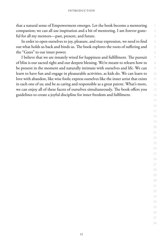that a natural sense of Empowerment emerges. Let the book become a mentoring companion; we can all use inspiration and a bit of mentoring. I am forever grateful for all my mentors—past, present, and future.

In order to open ourselves to joy, pleasure, and true expression, we need to find out what holds us back and binds us. The book explores the roots of suffering and the "Gates" to our inner power.

I believe that we are innately wired for happiness and fulfillment. The pursuit of bliss is our sacred right and our deepest blessing. We're meant to relearn how to be present in the moment and naturally intimate with ourselves and life. We can learn to have fun and engage in pleasurable activities, as kids do. We can learn to love with abandon, like wise fools; express ourselves like the inner artist that exists in each one of us; and be as caring and responsible as a great parent. What's more, we can enjoy all of these facets of ourselves simultaneously. The book offers you guidelines to create a joyful discipline for inner freedom and fulfilment.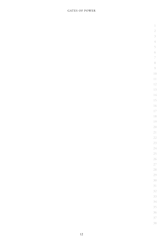#### GATES OF POWER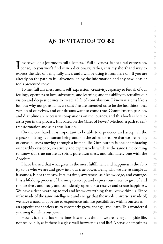### **AN INVITATION TO BE**

Invite you on a journey to full aliveness. "Full aliveness" is not a real expression, per se, so you won't find it in a dictionary; rather, it is my shorthand way to express the idea of being fully alive, and I will be using it from here on. If you are already on the path to full aliveness, enjoy the information and any new ideas or tools presented to you.

To me, full aliveness means self-expression, creativity, capacity to feel all of our feelings, openness to love, adventure, and learning, and the ability to actualize our vision and deepest desires to create a life of contribution. I know it seems like a lot, but why not go as far as we can? Nature intended us to be the healthiest, best version of ourselves, and our dreams want to come true. Commitment, passion, and discipline are necessary companions on the journey, and this book is here to assist you in the process. It is based on the Gates of Power® Method, a path to selftransformation and self-actualization.

On the one hand, it is important to be able to experience and accept all the aspects of living as a human being and, on the other, to realize that we are beings of consciousness moving through a human life. Our journey is one of embracing our earthly existence, creatively and expressively, while at the same time coming to know our true nature as spirit, pure awareness, and ultimately one with the Absolute.

I have learned that what gives us the most fulfillment and happiness is the ability to be who we are and grow into our true power. Being who we are, as simple as it sounds, is not that easy. It takes time, awareness, self-knowledge, and courage. It is a life-long process of learning to accept and express ourselves, to give of and to ourselves, and freely and confidently open up to receive and create happiness. We have a deep yearning to feel and know everything that lives within us. Since we're made of the same intelligence and energy that the whole universe is made of, we have a natural appetite to experience infinite possibilities within ourselves an appetite that entices us to constantly grow, change, and learn.This wonderful yearning for life is our jewel.

How is it, then, that sometimes it seems as though we are living alongside life, not really in it, as if there is a glass wall between us and life? A sense of emptiness 1 2 3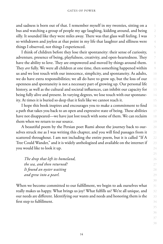and sadness is born out of that. I remember myself in my twenties, sitting on a bus and watching a group of people my age laughing, kidding around, and being silly. It sounded like they were miles away. There was that glass wall feeling. I was so withdrawn and joyless at that point in my life that laughter and silliness were things I observed, not things I experienced.

I think of children before they lose their spontaneity: their sense of curiosity, adventure, presence of being, playfulness, creativity, and open-heartedness. They have the ability to love. They are empowered and moved by things around them. They *are* fully. We were all children at one time, then something happened within us and we lost touch with our innocence, simplicity, and spontaneity. As adults, we do have extra responsibilities; we all do have to grow up, but the loss of our openness and spontaneity is not a necessary part of growing up. Our personal life history, as well as the cultural and societal influences, can inhibit our capacity for being fully alive and present. In varying degrees, we lose touch with our spontaneity. At times it is buried so deep that it feels like we cannot reach it.

I hope this book inspires and encourages you to make a commitment to find a path that takes you back to an open and expressive state of being. These abilities have not disappeared—we have just lost touch with some of them. We can reclaim them when we return to our source.

A beautiful poem by the Persian poet Rumi about the journey back to ourselves struck me as I was writing this chapter, and you will find passages from it scattered throughout. I am not including the entire poem, but it is called "If A Tree Could Wander," and it is widely anthologized and available on the internet if you would like to look it up.

*The drop that left its homeland, the sea, and then returned? It found an oyster waiting and grew into a pearl.*

When we become committed to our fulfillment, we begin to ask ourselves what really makes us happy. What brings us joy? What fulfills us? We're all unique, and our needs are different. Identifying our wants and needs and honoring them is the first step to fulfillment.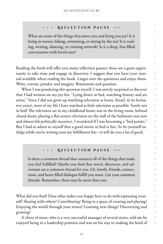#### **• • • R e f l e c t i o n P a u s e • • •**

1 2 3

What are some of the things that move you and bring you joy? Is it being in nature, hiking, swimming, or sitting by the sea? Is it reading, writing, dancing, or creating artwork? Is it a deep, fun-filled conversation with loved ones?

Reading the book will offer you many reflection pauses; these are a great opportunity to take time and engage in discovery. I suggest that you have your journal available when reading the book. Linger over the questions and enjoy them. Write, rewrite, ponder, and imagine. Brainstorm and question.

When I was pondering this question myself, I was utterly surprised to discover that I had written on my joy list: "Lying down in bed, watching history and art series." Since I did not grow up watching television at home (Israel, in its formative years), most of my life I have watched as little television as possible. Surely not in bed! The television set in my childhood home was in the living room, behind closed doors; placing a flat-screen television on the wall of the bedroom was new and almost felt politically incorrect. I wondered if I was becoming a "bed potato." But I had to admit to myself that a good movie in bed is fun. So let yourself indulge while you're writing your joy fulfillment list—it will do you a lot of good.

#### **REFLECTION PAUSE**

Is there a common thread that connects all of the things that make you feel fulfilled? Maybe you find that travel, discovery, and adventure are a common thread for you. Or, family, friends, connections, and heart-filled dialogue fulfill you most. List your common threads. Remember, there may be more than one.

What did you find? Does what makes you happy have to do with expressing yourself? Sharing with others? Contributing? Being in a space of creating and playing? Enjoying the world through your senses? Learning new things? Discovering and growing?

A client of mine, who is a very successful manager of several stores, told me he enjoyed being in a leadership position and was on his way to making the kind of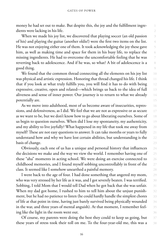money he had set out to make. But despite this, the joy and the fulfillment ingredients were lacking in his life.

When we made his joy list, we discovered that playing soccer (an old passion of his) and playing the guitar (another oldie!) were the first two items on the list. He was not enjoying either one of them. It took acknowledging the joy these gave him, as well as making time and space for them in his busy life, to replace the missing ingredients. He had to overcome the uncomfortable feeling that he was reverting back to adolescence. And if he was, so what? A bit of adolescence is a good thing.

We found that the common thread connecting all the elements on his joy list was physical and artistic expression. Honoring that thread changed his life. I think that if you look at what truly fulfills you, you will find it has to do with being expressive, creative, open and related—which brings us back to the idea of full aliveness and sense of inner power. Our journey is to return to what we already potentially are.

As we move into adulthood, most of us become aware of insecurities, repressions, and defensiveness, as I did. We feel that we are not as expressive or as secure as we want to be, but we don't know how to go about liberating ourselves. Some of us begin to question ourselves. When did I lose my spontaneity, my authenticity, and my ability to live joyfully? What happened in my life that took me away from myself? These are not easy questions to answer. It can take months or years to fully understand how and why we have lost certain abilities, but understanding is the basis of change.

Obviously, each one of us has a unique and personal history that influences the decisions we make and the way we view the world. I remember having one of these "aha" moments in acting school. We were doing an exercise connected to childhood memories, and I found myself sobbing uncontrollably in front of the class. It seemed like I somehow unearthed a painful memory.

I went back to the age of four. I had done something that angered my mom, who was very stressed by her life as it was, and I got severely beaten. I was terrified. Sobbing, I told Mom that I would tell Dad when he got back that she was unfair. When my dad got home, I rushed to him to tell him about the unjust punishment, but he had no patience to listen (he could hardly handle the simplest chores of life at that point in time, having just barely survived being physically wounded in the war, and three years of mental anguish). At that moment, I remember feeling like the light in the room went out.

Of course, my parents were doing the best they could to keep us going, but these years of stress took their toll on me. To the four-year-old me, this was a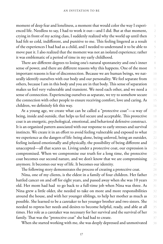moment of deep fear and loneliness, a moment that would color the way I experienced life. Needless to say, I had to work it out—and I did. But at that moment, crying in front of my acting class, I suddenly realized why the world up until then had felt so cold, indifferent, and punitive to me. This feeling lingered as a result of the experiences I had had as a child, and I needed to understand it to be able to move past it. I also realized that the moment was not an isolated experience; rather it was emblematic of a period of time in my early childhood.

There are different degrees to losing one's natural spontaneity and one's inner sense of power, and there are different reasons why this happens. One of the most important reasons is fear of disconnection. Because we are human beings, we naturally identify ourselves with our body and our personality. We feel separate from others, because I am in this body and you are in that body. This sense of separation makes us feel very vulnerable and transient. We need each other, and we need a sense of connection. Experiencing ourselves as separate, we try to somehow secure the connection with other people to ensure receiving comfort, love and caring. As children, we definitely felt this way.

At a young age, we create what can be called a "protective coat"—a way of being, inside and outside, that helps us feel secure and acceptable. This protective coat is an energetic, psychological, emotional, and behavioral defensive construct. It is an organized pattern associated with our response to early stresses and survival instincts. We create it in an effort to avoid feeling vulnerable and exposed to what we experience as the dangers of life: being alone, being unloved, being an outsider, feeling isolated emotionally and physically, the possibility of being different and unaccepted—all that scares us. Living under a protective coat, our expression is compromised. When we compromise our truth for a long time, the protective coat becomes our second nature, and we don't know that we are compromising anymore. It becomes our way of life. It becomes our identity.

The following story demonstrates the process of creating a protective coat.

Nina, one of my clients, is the eldest in a family of four children. Her father battled cancer on and off for eight years, and passed away when she was 10 years old. Her mom had had to go back to a full-time job when Nina was three. As Nina grew a little older, she needed to take on more and more responsibilities around the house, and with her younger siblings, to help her mother as much as possible. She learned to be a caretaker to her younger brother and two sisters. She needed to repress her needs and desires to become helpful, ready, and able at all times. Her role as a caretaker was necessary for her survival and the survival of her family. That was the "protective coat" she had had to create.

When she started working with me, she was deeply depressed and unmotivated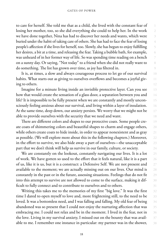to care for herself. She told me that as a child, she lived with the constant fear of losing her mother, too, so she did everything she could to help her. In the work we have done together, Nina has had to discover her needs and wants, which were buried under the habit of taking care of others. She has had to face the fear of losing people's affection if she lives for herself, too. Slowly, she has begun to enjoy fulfilling her desires, a bit at a time, and releasing the fear. Taking a bubble bath, for example, was unheard of in her former way of life. So was spending time reading on a bench on a sunny day. Or saying, "Not today" to a friend when she did not really want to do something. The list has grown over time, as joy has filtered in.

It is, at times, a slow and always courageous process to let go of our survival habits. What starts out as giving to ourselves overflows and becomes a joyful giving to others.

Imagine for a minute living inside an invisible protective layer. Can you see how that would create the sensation of a glass door, a separation between you and life? It is impossible to be fully present when we are constantly and mostly unconsciously feeling anxious about our survival, and living within a layer of insulation. At the same time, deep down, our anxiety persists. We worry that we might not be able to provide ourselves with the security that we need and want.

There are different colors and shapes to our protective coats. Some people create coats of shimmering colors and beautiful shapes to charm and engage others, while others create coats to hide inside, in order to appear nonexistent and as gray as possible. (We will explore more about this in the following chapters.) Moreover, in the effort to survive, we also hide away a part of ourselves—the unacceptable part that we don't think will help us survive in our family, culture, or society.

We are constantly on the lookout, constantly navigating our lives. It is a lot of work. We have gotten so used to the effort that it feels natural, like it is a part of us, like it is us, but it is a construct: a Defensive Self. We are not present and available to the moment; we are actually missing out on our lives. Our mind is constantly in the past or in the future, assessing situations. Feelings that do not fit into this attempt to survive are not allowed to come to the surface, making it difficult to fully connect and to contribute to ourselves and to others.

32 33 34 35 36 37 38 Writing this takes me to the memories of my first "big love." It was the first time I dared to open myself to love and, more frightening still, to the need to be loved. It was a bottomless need, and I was falling and falling. My old fear of being abandoned was so present that I could not enjoy the nurturing affection that was embracing me. I could not relax and be in the moment. I lived in the fear, not in the love. Living in my survival anxiety, I missed out on the bounty that was available to me. I remember one instance in particular: my partner was in the shower,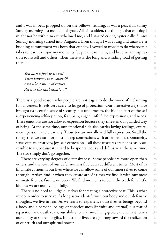and I was in bed, propped up on the pillows, reading. It was a peaceful, sunny Sunday morning—a moment of grace. All of a sudden, the thought that one day I might not be with him overwhelmed me, and I started crying hysterically. Sunny Sunday morning turned into Purgatory. Even though I was young and unaware, a budding commitment was born that Sunday. I vowed to myself to do whatever it takes to learn to enjoy my moments, be present in them, and become an inspiration to myself and others. Then there was the long and winding road of getting there.

*You lack a foot to travel? Then journey into yourself! And like a mine of rubies Receive the sunbeams[…]!*

There is a good reason why people are not eager to do the work of reclaiming full aliveness. It feels very scary to let go of protection. Our protective ways have brought us a certain sense of security, but underneath, the hidden part of the self is experiencing self-rejection, fear, pain, anger, unfulfilled expressions, and needs. These emotions are not allowed expression because they threaten our guarded way of being. At the same time, our emotional side also carries loving feelings, excitement, passion, and creativity. Those too are not allowed full expression. So all the things that we yearn for most—deep connections with other people, spontaneity, sense of play, creativity, joy, self-expression—all these treasures are not as easily accessible to us, because it is hard to be spontaneous and defensive at the same time. The two simply don't go together.

There are varying degrees of defensiveness. Some people are more open than others, and the level of our defensiveness fluctuates at different times. Most of us find little corners in our lives where we can allow some of our inner selves to come through. Artists find it when they create art. At times we find it with our most intimate friends, family, or lovers. We find moments to be in the truth for a little bit, but we are not living it fully.

There is no need to judge ourselves for creating a protective coat. This is what we do in order to survive. As long as we identify with our body and our defensive thoughts, we live in fear. As we learn to experience ourselves as beings beyond a body and a persona, beings of consciousness (infinite and eternal) our fear of separation and death eases, our ability to relax into living grows, and with it comes our ability to share our gifts. In fact, our lives are a journey toward the realization of our truth and our spiritual power.